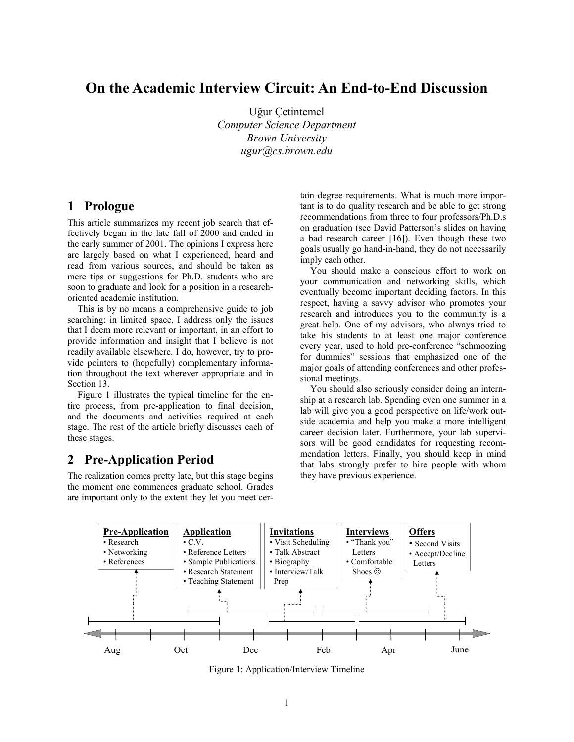# **On the Academic Interview Circuit: An End-to-End Discussion**

Uğur Çetintemel *Computer Science Department Brown University ugur@cs.brown.edu*

### **1 Prologue**

This article summarizes my recent job search that effectively began in the late fall of 2000 and ended in the early summer of 2001. The opinions I express here are largely based on what I experienced, heard and read from various sources, and should be taken as mere tips or suggestions for Ph.D. students who are soon to graduate and look for a position in a researchoriented academic institution.

This is by no means a comprehensive guide to job searching: in limited space, I address only the issues that I deem more relevant or important, in an effort to provide information and insight that I believe is not readily available elsewhere. I do, however, try to provide pointers to (hopefully) complementary information throughout the text wherever appropriate and in Section [13.](#page-5-0)

[Figure 1](#page-0-0) illustrates the typical timeline for the entire process, from pre-application to final decision, and the documents and activities required at each stage. The rest of the article briefly discusses each of these stages.

## **2 Pre-Application Period**

The realization comes pretty late, but this stage begins the moment one commences graduate school. Grades are important only to the extent they let you meet certain degree requirements. What is much more important is to do quality research and be able to get strong recommendations from three to four professors/Ph.D.s on graduation (see David Patterson's slides on having a bad research career [16]). Even though these two goals usually go hand-in-hand, they do not necessarily imply each other.

You should make a conscious effort to work on your communication and networking skills, which eventually become important deciding factors. In this respect, having a savvy advisor who promotes your research and introduces you to the community is a great help. One of my advisors, who always tried to take his students to at least one major conference every year, used to hold pre-conference "schmoozing for dummies" sessions that emphasized one of the major goals of attending conferences and other professional meetings.

You should also seriously consider doing an internship at a research lab. Spending even one summer in a lab will give you a good perspective on life/work outside academia and help you make a more intelligent career decision later. Furthermore, your lab supervisors will be good candidates for requesting recommendation letters. Finally, you should keep in mind that labs strongly prefer to hire people with whom they have previous experience.

<span id="page-0-0"></span>

Figure 1: Application/Interview Timeline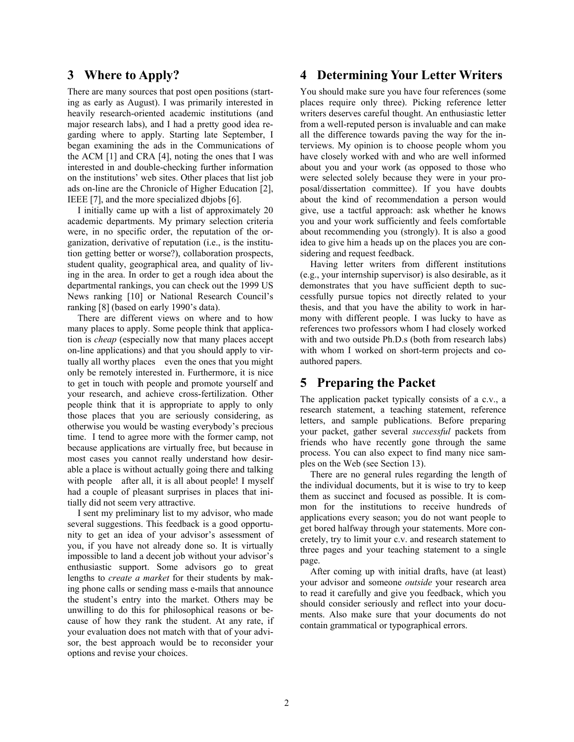# **3 Where to Apply?**

There are many sources that post open positions (starting as early as August). I was primarily interested in heavily research-oriented academic institutions (and major research labs), and I had a pretty good idea regarding where to apply. Starting late September, I began examining the ads in the Communications of the ACM [1] and CRA [4], noting the ones that I was interested in and double-checking further information on the institutions' web sites. Other places that list job ads on-line are the Chronicle of Higher Education [2], IEEE [7], and the more specialized dbjobs [6].

I initially came up with a list of approximately 20 academic departments. My primary selection criteria were, in no specific order, the reputation of the organization, derivative of reputation (i.e., is the institution getting better or worse?), collaboration prospects, student quality, geographical area, and quality of living in the area. In order to get a rough idea about the departmental rankings, you can check out the 1999 US News ranking [10] or National Research Council's ranking [8] (based on early 1990's data).

There are different views on where and to how many places to apply. Some people think that application is *cheap* (especially now that many places accept on-line applications) and that you should apply to virtually all worthy places—even the ones that you might only be remotely interested in. Furthermore, it is nice to get in touch with people and promote yourself and your research, and achieve cross-fertilization. Other people think that it is appropriate to apply to only those places that you are seriously considering, as otherwise you would be wasting everybody's precious time. I tend to agree more with the former camp, not because applications are virtually free, but because in most cases you cannot really understand how desirable a place is without actually going there and talking with people—after all, it is all about people! I myself had a couple of pleasant surprises in places that initially did not seem very attractive.

I sent my preliminary list to my advisor, who made several suggestions. This feedback is a good opportunity to get an idea of your advisor's assessment of you, if you have not already done so. It is virtually impossible to land a decent job without your advisor's enthusiastic support. Some advisors go to great lengths to *create a market* for their students by making phone calls or sending mass e-mails that announce the student's entry into the market. Others may be unwilling to do this for philosophical reasons or because of how they rank the student. At any rate, if your evaluation does not match with that of your advisor, the best approach would be to reconsider your options and revise your choices.

## **4 Determining Your Letter Writers**

You should make sure you have four references (some places require only three). Picking reference letter writers deserves careful thought. An enthusiastic letter from a well-reputed person is invaluable and can make all the difference towards paving the way for the interviews. My opinion is to choose people whom you have closely worked with and who are well informed about you and your work (as opposed to those who were selected solely because they were in your proposal/dissertation committee). If you have doubts about the kind of recommendation a person would give, use a tactful approach: ask whether he knows you and your work sufficiently and feels comfortable about recommending you (strongly). It is also a good idea to give him a heads up on the places you are considering and request feedback.

Having letter writers from different institutions (e.g., your internship supervisor) is also desirable, as it demonstrates that you have sufficient depth to successfully pursue topics not directly related to your thesis, and that you have the ability to work in harmony with different people. I was lucky to have as references two professors whom I had closely worked with and two outside Ph.D.s (both from research labs) with whom I worked on short-term projects and coauthored papers.

# **5 Preparing the Packet**

The application packet typically consists of a c.v., a research statement, a teaching statement, reference letters, and sample publications. Before preparing your packet, gather several *successful* packets from friends who have recently gone through the same process. You can also expect to find many nice samples on the Web (see Section [13\)](#page-5-0).

There are no general rules regarding the length of the individual documents, but it is wise to try to keep them as succinct and focused as possible. It is common for the institutions to receive hundreds of applications every season; you do not want people to get bored halfway through your statements. More concretely, try to limit your c.v. and research statement to three pages and your teaching statement to a single page.

After coming up with initial drafts, have (at least) your advisor and someone *outside* your research area to read it carefully and give you feedback, which you should consider seriously and reflect into your documents. Also make sure that your documents do not contain grammatical or typographical errors.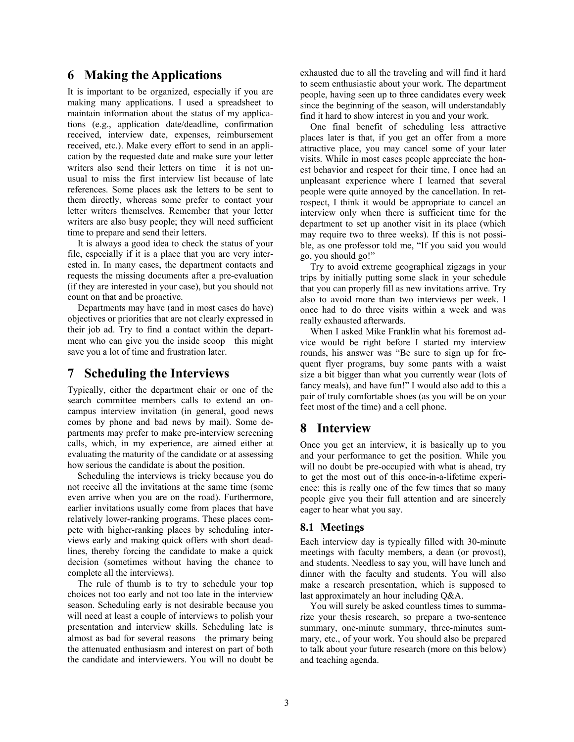## **6 Making the Applications**

It is important to be organized, especially if you are making many applications. I used a spreadsheet to maintain information about the status of my applications (e.g., application date/deadline, confirmation received, interview date, expenses, reimbursement received, etc.). Make every effort to send in an application by the requested date and make sure your letter writers also send their letters on time—it is not unusual to miss the first interview list because of late references. Some places ask the letters to be sent to them directly, whereas some prefer to contact your letter writers themselves. Remember that your letter writers are also busy people; they will need sufficient time to prepare and send their letters.

It is always a good idea to check the status of your file, especially if it is a place that you are very interested in. In many cases, the department contacts and requests the missing documents after a pre-evaluation (if they are interested in your case), but you should not count on that and be proactive.

Departments may have (and in most cases do have) objectives or priorities that are not clearly expressed in their job ad. Try to find a contact within the department who can give you the inside scoop-this might save you a lot of time and frustration later.

## **7 Scheduling the Interviews**

Typically, either the department chair or one of the search committee members calls to extend an oncampus interview invitation (in general, good news comes by phone and bad news by mail). Some departments may prefer to make pre-interview screening calls, which, in my experience, are aimed either at evaluating the maturity of the candidate or at assessing how serious the candidate is about the position.

Scheduling the interviews is tricky because you do not receive all the invitations at the same time (some even arrive when you are on the road). Furthermore, earlier invitations usually come from places that have relatively lower-ranking programs. These places compete with higher-ranking places by scheduling interviews early and making quick offers with short deadlines, thereby forcing the candidate to make a quick decision (sometimes without having the chance to complete all the interviews).

The rule of thumb is to try to schedule your top choices not too early and not too late in the interview season. Scheduling early is not desirable because you will need at least a couple of interviews to polish your presentation and interview skills. Scheduling late is almost as bad for several reasons—the primary being the attenuated enthusiasm and interest on part of both the candidate and interviewers. You will no doubt be exhausted due to all the traveling and will find it hard to seem enthusiastic about your work. The department people, having seen up to three candidates every week since the beginning of the season, will understandably find it hard to show interest in you and your work.

One final benefit of scheduling less attractive places later is that, if you get an offer from a more attractive place, you may cancel some of your later visits. While in most cases people appreciate the honest behavior and respect for their time, I once had an unpleasant experience where I learned that several people were quite annoyed by the cancellation. In retrospect, I think it would be appropriate to cancel an interview only when there is sufficient time for the department to set up another visit in its place (which may require two to three weeks). If this is not possible, as one professor told me, "If you said you would go, you should go!"

Try to avoid extreme geographical zigzags in your trips by initially putting some slack in your schedule that you can properly fill as new invitations arrive. Try also to avoid more than two interviews per week. I once had to do three visits within a week and was really exhausted afterwards.

When I asked Mike Franklin what his foremost advice would be right before I started my interview rounds, his answer was "Be sure to sign up for frequent flyer programs, buy some pants with a waist size a bit bigger than what you currently wear (lots of fancy meals), and have fun!" I would also add to this a pair of truly comfortable shoes (as you will be on your feet most of the time) and a cell phone.

# **8 Interview**

Once you get an interview, it is basically up to you and your performance to get the position. While you will no doubt be pre-occupied with what is ahead, try to get the most out of this once-in-a-lifetime experience: this is really one of the few times that so many people give you their full attention and are sincerely eager to hear what you say.

#### **8.1 Meetings**

Each interview day is typically filled with 30-minute meetings with faculty members, a dean (or provost), and students. Needless to say you, will have lunch and dinner with the faculty and students. You will also make a research presentation, which is supposed to last approximately an hour including Q&A.

You will surely be asked countless times to summarize your thesis research, so prepare a two-sentence summary, one-minute summary, three-minutes summary, etc., of your work. You should also be prepared to talk about your future research (more on this below) and teaching agenda.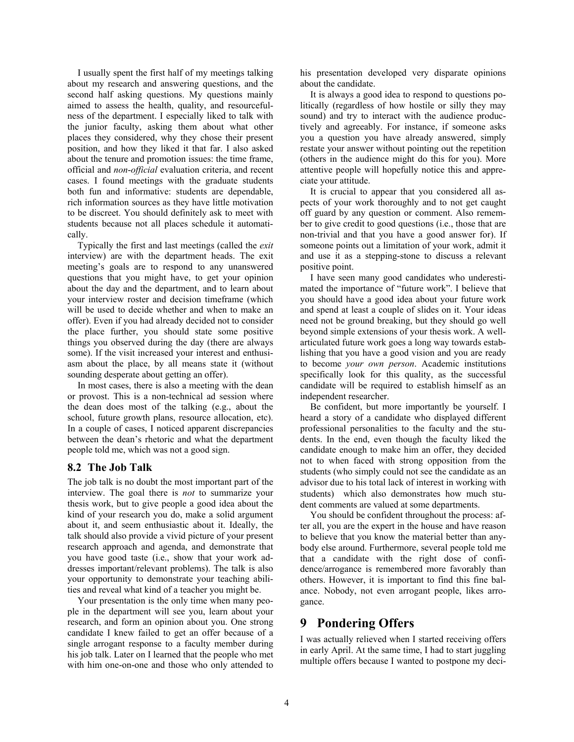I usually spent the first half of my meetings talking about my research and answering questions, and the second half asking questions. My questions mainly aimed to assess the health, quality, and resourcefulness of the department. I especially liked to talk with the junior faculty, asking them about what other places they considered, why they chose their present position, and how they liked it that far. I also asked about the tenure and promotion issues: the time frame, official and *non*-*official* evaluation criteria, and recent cases. I found meetings with the graduate students both fun and informative: students are dependable, rich information sources as they have little motivation to be discreet. You should definitely ask to meet with students because not all places schedule it automatically.

Typically the first and last meetings (called the *exit* interview) are with the department heads. The exit meeting's goals are to respond to any unanswered questions that you might have, to get your opinion about the day and the department, and to learn about your interview roster and decision timeframe (which will be used to decide whether and when to make an offer). Even if you had already decided not to consider the place further, you should state some positive things you observed during the day (there are always some). If the visit increased your interest and enthusiasm about the place, by all means state it (without sounding desperate about getting an offer).

In most cases, there is also a meeting with the dean or provost. This is a non-technical ad session where the dean does most of the talking (e.g., about the school, future growth plans, resource allocation, etc). In a couple of cases, I noticed apparent discrepancies between the dean's rhetoric and what the department people told me, which was not a good sign.

#### **8.2 The Job Talk**

The job talk is no doubt the most important part of the interview. The goal there is *not* to summarize your thesis work, but to give people a good idea about the kind of your research you do, make a solid argument about it, and seem enthusiastic about it. Ideally, the talk should also provide a vivid picture of your present research approach and agenda, and demonstrate that you have good taste (i.e., show that your work addresses important/relevant problems). The talk is also your opportunity to demonstrate your teaching abilities and reveal what kind of a teacher you might be.

Your presentation is the only time when many people in the department will see you, learn about your research, and form an opinion about you. One strong candidate I knew failed to get an offer because of a single arrogant response to a faculty member during his job talk. Later on I learned that the people who met with him one-on-one and those who only attended to his presentation developed very disparate opinions about the candidate.

It is always a good idea to respond to questions politically (regardless of how hostile or silly they may sound) and try to interact with the audience productively and agreeably. For instance, if someone asks you a question you have already answered, simply restate your answer without pointing out the repetition (others in the audience might do this for you). More attentive people will hopefully notice this and appreciate your attitude.

It is crucial to appear that you considered all aspects of your work thoroughly and to not get caught off guard by any question or comment. Also remember to give credit to good questions (i.e., those that are non-trivial and that you have a good answer for). If someone points out a limitation of your work, admit it and use it as a stepping-stone to discuss a relevant positive point.

I have seen many good candidates who underestimated the importance of "future work". I believe that you should have a good idea about your future work and spend at least a couple of slides on it. Your ideas need not be ground breaking, but they should go well beyond simple extensions of your thesis work. A wellarticulated future work goes a long way towards establishing that you have a good vision and you are ready to become *your own person*. Academic institutions specifically look for this quality, as the successful candidate will be required to establish himself as an independent researcher.

Be confident, but more importantly be yourself. I heard a story of a candidate who displayed different professional personalities to the faculty and the students. In the end, even though the faculty liked the candidate enough to make him an offer, they decided not to when faced with strong opposition from the students (who simply could not see the candidate as an advisor due to his total lack of interest in working with students)—which also demonstrates how much student comments are valued at some departments.

You should be confident throughout the process: after all, you are the expert in the house and have reason to believe that you know the material better than anybody else around. Furthermore, several people told me that a candidate with the right dose of confidence/arrogance is remembered more favorably than others. However, it is important to find this fine balance. Nobody, not even arrogant people, likes arrogance.

# **9 Pondering Offers**

I was actually relieved when I started receiving offers in early April. At the same time, I had to start juggling multiple offers because I wanted to postpone my deci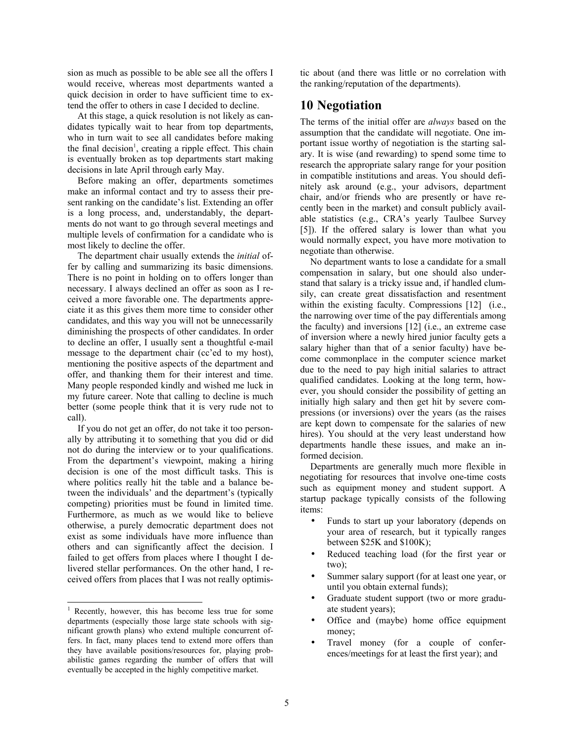sion as much as possible to be able see all the offers I would receive, whereas most departments wanted a quick decision in order to have sufficient time to extend the offer to others in case I decided to decline.

At this stage, a quick resolution is not likely as candidates typically wait to hear from top departments, who in turn wait to see all candidates before making the final decision<sup>1</sup>, creating a ripple effect. This chain is eventually broken as top departments start making decisions in late April through early May.

Before making an offer, departments sometimes make an informal contact and try to assess their present ranking on the candidate's list. Extending an offer is a long process, and, understandably, the departments do not want to go through several meetings and multiple levels of confirmation for a candidate who is most likely to decline the offer.

The department chair usually extends the *initial* offer by calling and summarizing its basic dimensions. There is no point in holding on to offers longer than necessary. I always declined an offer as soon as I received a more favorable one. The departments appreciate it as this gives them more time to consider other candidates, and this way you will not be unnecessarily diminishing the prospects of other candidates. In order to decline an offer, I usually sent a thoughtful e-mail message to the department chair (cc'ed to my host), mentioning the positive aspects of the department and offer, and thanking them for their interest and time. Many people responded kindly and wished me luck in my future career. Note that calling to decline is much better (some people think that it is very rude not to call).

If you do not get an offer, do not take it too personally by attributing it to something that you did or did not do during the interview or to your qualifications. From the department's viewpoint, making a hiring decision is one of the most difficult tasks. This is where politics really hit the table and a balance between the individuals' and the department's (typically competing) priorities must be found in limited time. Furthermore, as much as we would like to believe otherwise, a purely democratic department does not exist as some individuals have more influence than others and can significantly affect the decision. I failed to get offers from places where I thought I delivered stellar performances. On the other hand, I received offers from places that I was not really optimistic about (and there was little or no correlation with the ranking/reputation of the departments).

## **10 Negotiation**

The terms of the initial offer are *always* based on the assumption that the candidate will negotiate. One important issue worthy of negotiation is the starting salary. It is wise (and rewarding) to spend some time to research the appropriate salary range for your position in compatible institutions and areas. You should definitely ask around (e.g., your advisors, department chair, and/or friends who are presently or have recently been in the market) and consult publicly available statistics (e.g., CRA's yearly Taulbee Survey [5]). If the offered salary is lower than what you would normally expect, you have more motivation to negotiate than otherwise.

No department wants to lose a candidate for a small compensation in salary, but one should also understand that salary is a tricky issue and, if handled clumsily, can create great dissatisfaction and resentment within the existing faculty. Compressions [12] (i.e., the narrowing over time of the pay differentials among the faculty) and inversions [12] (i.e., an extreme case of inversion where a newly hired junior faculty gets a salary higher than that of a senior faculty) have become commonplace in the computer science market due to the need to pay high initial salaries to attract qualified candidates. Looking at the long term, however, you should consider the possibility of getting an initially high salary and then get hit by severe compressions (or inversions) over the years (as the raises are kept down to compensate for the salaries of new hires). You should at the very least understand how departments handle these issues, and make an informed decision.

Departments are generally much more flexible in negotiating for resources that involve one-time costs such as equipment money and student support. A startup package typically consists of the following items:

- Funds to start up your laboratory (depends on your area of research, but it typically ranges between \$25K and \$100K);
- Reduced teaching load (for the first year or two);
- Summer salary support (for at least one year, or until you obtain external funds);
- Graduate student support (two or more graduate student years);
- Office and (maybe) home office equipment money;
- Travel money (for a couple of conferences/meetings for at least the first year); and

<span id="page-4-0"></span> $\frac{1}{1}$  $1$  Recently, however, this has become less true for some departments (especially those large state schools with significant growth plans) who extend multiple concurrent offers. In fact, many places tend to extend more offers than they have available positions/resources for, playing probabilistic games regarding the number of offers that will eventually be accepted in the highly competitive market.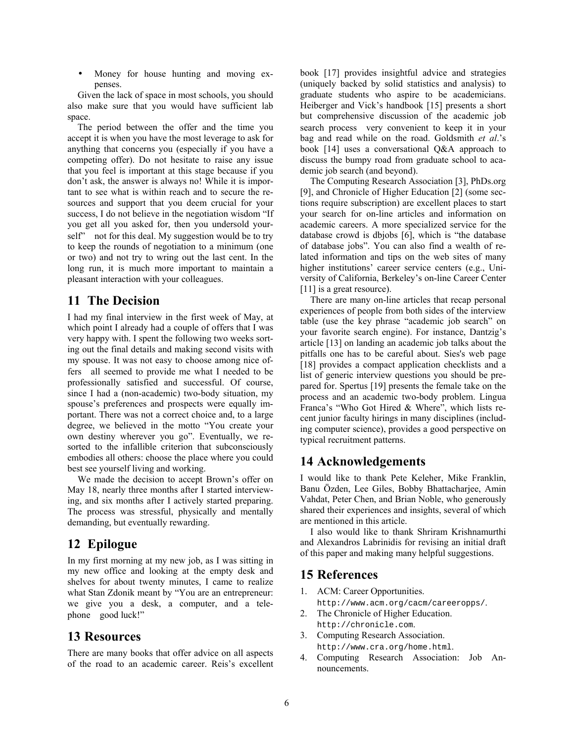• Money for house hunting and moving expenses.

Given the lack of space in most schools, you should also make sure that you would have sufficient lab space.

The period between the offer and the time you accept it is when you have the most leverage to ask for anything that concerns you (especially if you have a competing offer). Do not hesitate to raise any issue that you feel is important at this stage because if you don't ask, the answer is always no! While it is important to see what is within reach and to secure the resources and support that you deem crucial for your success, I do not believe in the negotiation wisdom "If you get all you asked for, then you undersold yourself"-not for this deal. My suggestion would be to try to keep the rounds of negotiation to a minimum (one or two) and not try to wring out the last cent. In the long run, it is much more important to maintain a pleasant interaction with your colleagues.

## **11 The Decision**

I had my final interview in the first week of May, at which point I already had a couple of offers that I was very happy with. I spent the following two weeks sorting out the final details and making second visits with my spouse. It was not easy to choose among nice offers—all seemed to provide me what I needed to be professionally satisfied and successful. Of course, since I had a (non-academic) two-body situation, my spouse's preferences and prospects were equally important. There was not a correct choice and, to a large degree, we believed in the motto "You create your own destiny wherever you go". Eventually, we resorted to the infallible criterion that subconsciously embodies all others: choose the place where you could best see yourself living and working.

We made the decision to accept Brown's offer on May 18, nearly three months after I started interviewing, and six months after I actively started preparing. The process was stressful, physically and mentally demanding, but eventually rewarding.

## **12 Epilogue**

In my first morning at my new job, as I was sitting in my new office and looking at the empty desk and shelves for about twenty minutes, I came to realize what Stan Zdonik meant by "You are an entrepreneur: we give you a desk, a computer, and a telephone—good luck!"

### <span id="page-5-0"></span>**13 Resources**

There are many books that offer advice on all aspects of the road to an academic career. Reis's excellent book [17] provides insightful advice and strategies (uniquely backed by solid statistics and analysis) to graduate students who aspire to be academicians. Heiberger and Vick's handbook [15] presents a short but comprehensive discussion of the academic job search process—very convenient to keep it in your bag and read while on the road. Goldsmith *et al*.'s book [14] uses a conversational Q&A approach to discuss the bumpy road from graduate school to academic job search (and beyond).

The Computing Research Association [3], PhDs.org [9], and Chronicle of Higher Education [2] (some sections require subscription) are excellent places to start your search for on-line articles and information on academic careers. A more specialized service for the database crowd is dbjobs [6], which is "the database of database jobs". You can also find a wealth of related information and tips on the web sites of many higher institutions' career service centers (e.g., University of California, Berkeley's on-line Career Center [11] is a great resource).

There are many on-line articles that recap personal experiences of people from both sides of the interview table (use the key phrase "academic job search" on your favorite search engine). For instance, Dantzig's article [13] on landing an academic job talks about the pitfalls one has to be careful about. Sies's web page [18] provides a compact application checklists and a list of generic interview questions you should be prepared for. Spertus [19] presents the female take on the process and an academic two-body problem. Lingua Franca's "Who Got Hired & Where", which lists recent junior faculty hirings in many disciplines (including computer science), provides a good perspective on typical recruitment patterns.

## **14 Acknowledgements**

I would like to thank Pete Keleher, Mike Franklin, Banu Özden, Lee Giles, Bobby Bhattacharjee, Amin Vahdat, Peter Chen, and Brian Noble, who generously shared their experiences and insights, several of which are mentioned in this article.

I also would like to thank Shriram [Krishnamurthi](http://www.cs.brown.edu/people/faculty/sk.html) and Alexandros Labrinidis for revising an initial draft of this paper and making many helpful suggestions.

### **15 References**

- 1. ACM: Career Opportunities.
- http://www.acm.org/cacm/careeropps/. 2. The Chronicle of Higher Education.
- http://chronicle.com.
- 3. Computing Research Association. http://www.cra.org/home.html.
- 4. Computing Research Association: Job Announcements.